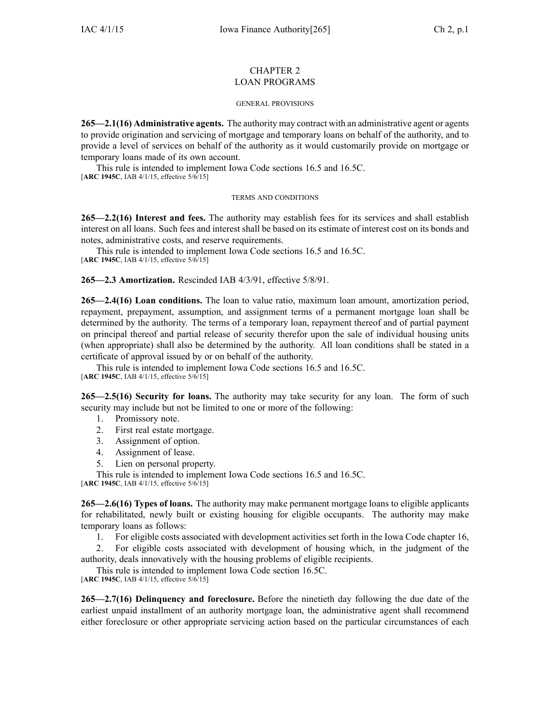## CHAPTER 2 LOAN PROGRAMS

## GENERAL PROVISIONS

**265—2.1(16) Administrative agents.** The authority may contract with an administrative agen<sup>t</sup> or agents to provide origination and servicing of mortgage and temporary loans on behalf of the authority, and to provide <sup>a</sup> level of services on behalf of the authority as it would customarily provide on mortgage or temporary loans made of its own account.

This rule is intended to implement Iowa Code sections [16.5](https://www.legis.iowa.gov/docs/ico/section/16.5.pdf) and [16.5C](https://www.legis.iowa.gov/docs/ico/section/16.5C.pdf). [**ARC 1945C**, IAB 4/1/15, effective 5/6/15]

## TERMS AND CONDITIONS

**265—2.2(16) Interest and fees.** The authority may establish fees for its services and shall establish interest on all loans. Such fees and interest shall be based on its estimate of interest cost on its bonds and notes, administrative costs, and reserve requirements.

This rule is intended to implement Iowa Code sections [16.5](https://www.legis.iowa.gov/docs/ico/section/16.5.pdf) and [16.5C](https://www.legis.iowa.gov/docs/ico/section/16.5C.pdf). [**ARC 1945C**, IAB 4/1/15, effective 5/6/15]

**265—2.3 Amortization.** Rescinded IAB 4/3/91, effective 5/8/91.

**265—2.4(16) Loan conditions.** The loan to value ratio, maximum loan amount, amortization period, repayment, prepayment, assumption, and assignment terms of <sup>a</sup> permanen<sup>t</sup> mortgage loan shall be determined by the authority. The terms of <sup>a</sup> temporary loan, repaymen<sup>t</sup> thereof and of partial paymen<sup>t</sup> on principal thereof and partial release of security therefor upon the sale of individual housing units (when appropriate) shall also be determined by the authority. All loan conditions shall be stated in <sup>a</sup> certificate of approval issued by or on behalf of the authority.

This rule is intended to implement Iowa Code sections [16.5](https://www.legis.iowa.gov/docs/ico/section/16.5.pdf) and [16.5C](https://www.legis.iowa.gov/docs/ico/section/16.5C.pdf). [**ARC 1945C**, IAB 4/1/15, effective 5/6/15]

**265—2.5(16) Security for loans.** The authority may take security for any loan. The form of such security may include but not be limited to one or more of the following:

- 1. Promissory note.
- 2. First real estate mortgage.
- 3. Assignment of option.
- 4. Assignment of lease.
- 5. Lien on personal property.

This rule is intended to implement Iowa Code sections [16.5](https://www.legis.iowa.gov/docs/ico/section/16.5.pdf) and [16.5C](https://www.legis.iowa.gov/docs/ico/section/16.5C.pdf).

[**ARC 1945C**, IAB 4/1/15, effective 5/6/15]

**265—2.6(16) Types of loans.** The authority may make permanen<sup>t</sup> mortgage loans to eligible applicants for rehabilitated, newly built or existing housing for eligible occupants. The authority may make temporary loans as follows:

1. For eligible costs associated with development activities set forth in the Iowa Code chapter [16](https://www.legis.iowa.gov/docs/ico/chapter/16.pdf),

2. For eligible costs associated with development of housing which, in the judgment of the authority, deals innovatively with the housing problems of eligible recipients.

This rule is intended to implement Iowa Code section [16.5C](https://www.legis.iowa.gov/docs/ico/section/16.5C.pdf). [**ARC 1945C**, IAB 4/1/15, effective 5/6/15]

**265—2.7(16) Delinquency and foreclosure.** Before the ninetieth day following the due date of the earliest unpaid installment of an authority mortgage loan, the administrative agen<sup>t</sup> shall recommend either foreclosure or other appropriate servicing action based on the particular circumstances of each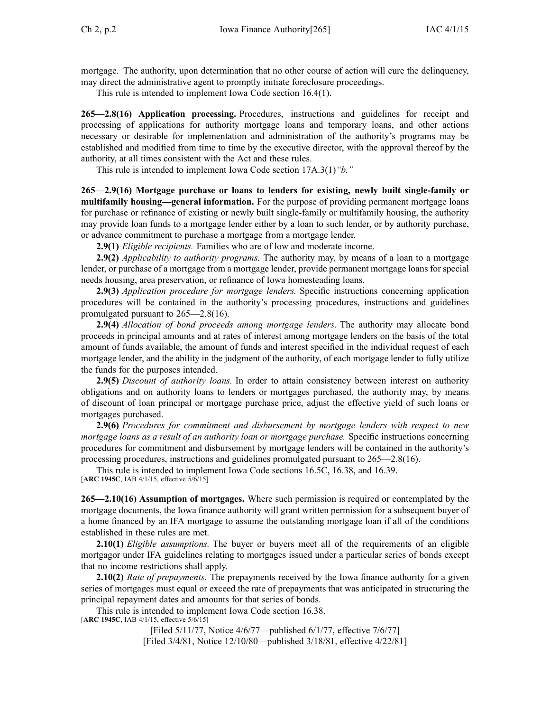mortgage. The authority, upon determination that no other course of action will cure the delinquency, may direct the administrative agen<sup>t</sup> to promptly initiate foreclosure proceedings.

This rule is intended to implement Iowa Code section [16.4\(1\)](https://www.legis.iowa.gov/docs/ico/section/16.4.pdf).

**265—2.8(16) Application processing.** Procedures, instructions and guidelines for receipt and processing of applications for authority mortgage loans and temporary loans, and other actions necessary or desirable for implementation and administration of the authority's programs may be established and modified from time to time by the executive director, with the approval thereof by the authority, at all times consistent with the Act and these rules.

This rule is intended to implement Iowa Code section [17A.3\(1\)](https://www.legis.iowa.gov/docs/ico/section/17A.3.pdf)*"b."*

**265—2.9(16) Mortgage purchase or loans to lenders for existing, newly built single-family or multifamily housing—general information.** For the purpose of providing permanen<sup>t</sup> mortgage loans for purchase or refinance of existing or newly built single-family or multifamily housing, the authority may provide loan funds to <sup>a</sup> mortgage lender either by <sup>a</sup> loan to such lender, or by authority purchase, or advance commitment to purchase <sup>a</sup> mortgage from <sup>a</sup> mortgage lender.

**2.9(1)** *Eligible recipients.* Families who are of low and moderate income.

**2.9(2)** *Applicability to authority programs.* The authority may, by means of <sup>a</sup> loan to <sup>a</sup> mortgage lender, or purchase of <sup>a</sup> mortgage from <sup>a</sup> mortgage lender, provide permanen<sup>t</sup> mortgage loans for special needs housing, area preservation, or refinance of Iowa homesteading loans.

**2.9(3)** *Application procedure for mortgage lenders.* Specific instructions concerning application procedures will be contained in the authority's processing procedures, instructions and guidelines promulgated pursuan<sup>t</sup> to 265—2.8(16).

**2.9(4)** *Allocation of bond proceeds among mortgage lenders.* The authority may allocate bond proceeds in principal amounts and at rates of interest among mortgage lenders on the basis of the total amount of funds available, the amount of funds and interest specified in the individual reques<sup>t</sup> of each mortgage lender, and the ability in the judgment of the authority, of each mortgage lender to fully utilize the funds for the purposes intended.

**2.9(5)** *Discount of authority loans.* In order to attain consistency between interest on authority obligations and on authority loans to lenders or mortgages purchased, the authority may, by means of discount of loan principal or mortgage purchase price, adjust the effective yield of such loans or mortgages purchased.

**2.9(6)** *Procedures for commitment and disbursement by mortgage lenders with respec<sup>t</sup> to new mortgage loans as <sup>a</sup> result of an authority loan or mortgage purchase.* Specific instructions concerning procedures for commitment and disbursement by mortgage lenders will be contained in the authority's processing procedures, instructions and guidelines promulgated pursuan<sup>t</sup> to 265—2.8(16).

This rule is intended to implement Iowa Code sections [16.5C](https://www.legis.iowa.gov/docs/ico/section/16.5C.pdf), [16.38](https://www.legis.iowa.gov/docs/ico/section/16.38.pdf), and [16.39](https://www.legis.iowa.gov/docs/ico/section/16.39.pdf). [**ARC 1945C**, IAB 4/1/15, effective 5/6/15]

**265—2.10(16) Assumption of mortgages.** Where such permission is required or contemplated by the mortgage documents, the Iowa finance authority will gran<sup>t</sup> written permission for <sup>a</sup> subsequent buyer of <sup>a</sup> home financed by an IFA mortgage to assume the outstanding mortgage loan if all of the conditions established in these rules are met.

**2.10(1)** *Eligible assumptions.* The buyer or buyers meet all of the requirements of an eligible mortgagor under IFA guidelines relating to mortgages issued under <sup>a</sup> particular series of bonds excep<sup>t</sup> that no income restrictions shall apply.

**2.10(2)** *Rate of prepayments.* The prepayments received by the Iowa finance authority for <sup>a</sup> given series of mortgages must equal or exceed the rate of prepayments that was anticipated in structuring the principal repaymen<sup>t</sup> dates and amounts for that series of bonds.

This rule is intended to implement Iowa Code section [16.38](https://www.legis.iowa.gov/docs/ico/section/16.38.pdf).

[**ARC 1945C**, IAB 4/1/15, effective 5/6/15]

[Filed 5/11/77, Notice 4/6/77—published 6/1/77, effective 7/6/77] [Filed 3/4/81, Notice 12/10/80—published 3/18/81, effective 4/22/81]